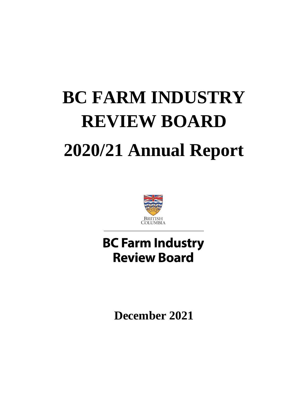# **BC FARM INDUSTRY REVIEW BOARD 2020/21 Annual Report**



# **BC Farm Industry Review Board**

**December 2021**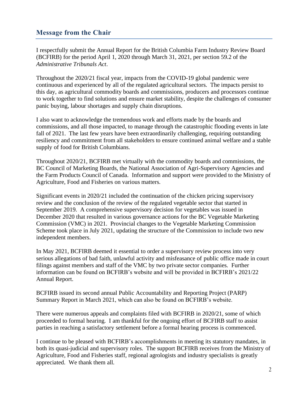#### **Message from the Chair**

I respectfully submit the Annual Report for the British Columbia Farm Industry Review Board (BCFIRB) for the period April 1, 2020 through March 31, 2021, per section 59.2 of the *Administrative Tribunals Act*.

Throughout the 2020/21 fiscal year, impacts from the COVID-19 global pandemic were continuous and experienced by all of the regulated agricultural sectors. The impacts persist to this day, as agricultural commodity boards and commissions, producers and processors continue to work together to find solutions and ensure market stability, despite the challenges of consumer panic buying, labour shortages and supply chain disruptions.

I also want to acknowledge the tremendous work and efforts made by the boards and commissions, and all those impacted, to manage through the catastrophic flooding events in late fall of 2021. The last few years have been extraordinarily challenging, requiring outstanding resiliency and commitment from all stakeholders to ensure continued animal welfare and a stable supply of food for British Columbians.

Throughout 2020/21, BCFIRB met virtually with the commodity boards and commissions, the BC Council of Marketing Boards, the National Association of Agri-Supervisory Agencies and the Farm Products Council of Canada. Information and support were provided to the Ministry of Agriculture, Food and Fisheries on various matters.

Significant events in 2020/21 included the continuation of the chicken pricing supervisory review and the conclusion of the review of the regulated vegetable sector that started in September 2019. A comprehensive supervisory decision for vegetables was issued in December 2020 that resulted in various governance actions for the BC Vegetable Marketing Commission (VMC) in 2021. Provincial changes to the Vegetable Marketing Commission Scheme took place in July 2021, updating the structure of the Commission to include two new independent members.

In May 2021, BCFIRB deemed it essential to order a supervisory review process into very serious allegations of bad faith, unlawful activity and misfeasance of public office made in court filings against members and staff of the VMC by two private sector companies. Further information can be found on BCFIRB's website and will be provided in BCFIRB's 2021/22 Annual Report.

BCFIRB issued its second annual Public Accountability and Reporting Project (PARP) Summary Report in March 2021, which can also be found on BCFIRB's website.

There were numerous appeals and complaints filed with BCFIRB in 2020/21, some of which proceeded to formal hearing. I am thankful for the ongoing effort of BCFIRB staff to assist parties in reaching a satisfactory settlement before a formal hearing process is commenced.

I continue to be pleased with BCFIRB's accomplishments in meeting its statutory mandates, in both its quasi-judicial and supervisory roles. The support BCFIRB receives from the Ministry of Agriculture, Food and Fisheries staff, regional agrologists and industry specialists is greatly appreciated. We thank them all.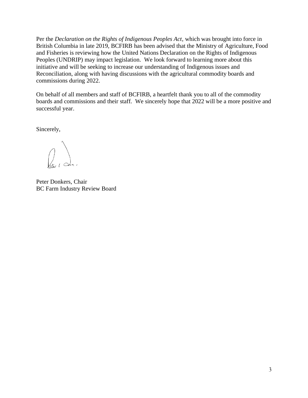Per the *Declaration on the Rights of Indigenous Peoples Act*, which was brought into force in British Columbia in late 2019, BCFIRB has been advised that the Ministry of Agriculture, Food and Fisheries is reviewing how the United Nations Declaration on the Rights of Indigenous Peoples (UNDRIP) may impact legislation. We look forward to learning more about this initiative and will be seeking to increase our understanding of Indigenous issues and Reconciliation, along with having discussions with the agricultural commodity boards and commissions during 2022.

On behalf of all members and staff of BCFIRB, a heartfelt thank you to all of the commodity boards and commissions and their staff. We sincerely hope that 2022 will be a more positive and successful year.

Sincerely,

 $\begin{matrix} 1 & 1 \\ 1 & 1 \end{matrix}$ 

Peter Donkers, Chair BC Farm Industry Review Board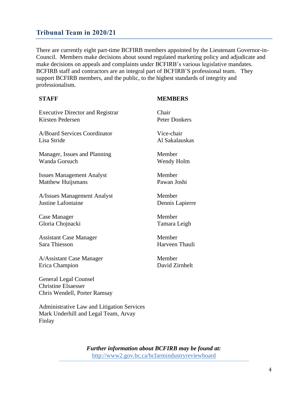#### **Tribunal Team in 2020/21**

There are currently eight part-time BCFIRB members appointed by the Lieutenant Governor-in-Council. Members make decisions about sound regulated marketing policy and adjudicate and make decisions on appeals and complaints under BCFIRB's various legislative mandates. BCFIRB staff and contractors are an integral part of BCFIRB'S professional team. They support BCFIRB members, and the public, to the highest standards of integrity and professionalism.

#### **STAFF**

#### **MEMBERS**

| <b>Executive Director and Registrar</b>                                                    | Chair                |
|--------------------------------------------------------------------------------------------|----------------------|
| <b>Kirsten Pedersen</b>                                                                    | <b>Peter Donkers</b> |
| A/Board Services Coordinator                                                               | Vice-chair           |
| Lisa Stride                                                                                | Al Sakalauskas       |
| Manager, Issues and Planning                                                               | Member               |
| Wanda Gorsuch                                                                              | Wendy Holm           |
| <b>Issues Management Analyst</b>                                                           | Member               |
| Matthew Huijsmans                                                                          | Pawan Joshi          |
| A/Issues Management Analyst                                                                | Member               |
| Justine Lafontaine                                                                         | Dennis Lapierre      |
| Case Manager                                                                               | Member               |
| Gloria Chojnacki                                                                           | Tamara Leigh         |
| <b>Assistant Case Manager</b>                                                              | Member               |
| Sara Thiesson                                                                              | Harveen Thauli       |
| A/Assistant Case Manager                                                                   | Member               |
| Erica Champion                                                                             | David Zirnhelt       |
| <b>General Legal Counsel</b><br><b>Christine Elsaesser</b><br>Chris Wendell, Porter Ramsay |                      |

Administrative Law and Litigation Services Mark Underhill and Legal Team, Arvay Finlay

*Further information about BCFIRB may be found at:*  <http://www2.gov.bc.ca/bcfarmindustryreviewboard>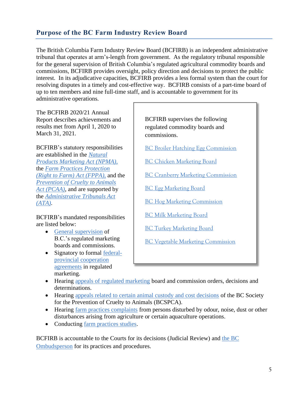### **Purpose of the BC Farm Industry Review Board**

The British Columbia Farm Industry Review Board (BCFIRB) is an independent administrative tribunal that operates at arm's-length from government. As the regulatory tribunal responsible for the general supervision of British Columbia's regulated agricultural commodity boards and commissions, BCFIRB provides oversight, policy direction and decisions to protect the public interest. In its adjudicative capacities, BCFIRB provides a less formal system than the court for resolving disputes in a timely and cost-effective way. BCFIRB consists of a part-time board of up to ten members and nine full-time staff, and is accountable to government for its administrative operations.

The BCFIRB 2020/21 Annual Report describes achievements and results met from April 1, 2020 to March 31, 2021.

BCFIRB's statutory responsibilities are established in the *[Natural](http://www.bclaws.ca/EPLibraries/bclaws_new/document/ID/freeside/00_96330_01)  [Products Marketing Act](http://www.bclaws.ca/EPLibraries/bclaws_new/document/ID/freeside/00_96330_01) (NPMA)*, the *[Farm Practices Protection](http://www.bclaws.ca/EPLibraries/bclaws_new/document/ID/freeside/00_96131_01)  [\(Right to Farm\) Act](http://www.bclaws.ca/EPLibraries/bclaws_new/document/ID/freeside/00_96131_01) (FPPA)*, and the *Prevention [of Cruelty to Animals](http://www.bclaws.ca/EPLibraries/bclaws_new/document/ID/freeside/00_96372_01)  Act [\(PCAA\)](http://www.bclaws.ca/EPLibraries/bclaws_new/document/ID/freeside/00_96372_01)*, and are supported by the *[Administrative Tribunals Act](http://www.bclaws.ca/EPLibraries/bclaws_new/document/ID/freeside/00_04045_01) (ATA).*

BCFIRB's mandated responsibilities are listed below:

- [General supervision](https://www2.gov.bc.ca/gov/content/governments/organizational-structure/ministries-organizations/boards-commissions-tribunals/bc-farm-industry-review-board/regulated-marketing/general-supervision) of B.C.'s regulated marketing boards and commissions.
- Signatory to formal [federal](https://www2.gov.bc.ca/gov/content/governments/organizational-structure/ministries-organizations/boards-commissions-tribunals/bc-farm-industry-review-board/regulated-marketing/regulated-marketing-legislation)[provincial cooperation](https://www2.gov.bc.ca/gov/content/governments/organizational-structure/ministries-organizations/boards-commissions-tribunals/bc-farm-industry-review-board/regulated-marketing/regulated-marketing-legislation)  [agreements](https://www2.gov.bc.ca/gov/content/governments/organizational-structure/ministries-organizations/boards-commissions-tribunals/bc-farm-industry-review-board/regulated-marketing/regulated-marketing-legislation) in regulated marketing.

BCFIRB supervises the following regulated commodity boards and commissions.

[BC Broiler Hatching Egg Commission](http://www.bcbhec.com/index.asp?pgid=1)

- [BC Chicken Marketing Board](http://bcchicken.ca/)
- [BC Cranberry Marketing Commission](http://www.bccranberries.com/default.html)
- [BC Egg Marketing Board](http://www.bcegg.com/)
- [BC Hog Marketing Commission](http://bcpork.ca/)
- [BC Milk Marketing Board](http://milk-bc.com/)
- [BC Turkey Marketing Board](http://www.bcturkey.com/)
- [BC Vegetable Marketing Commission](http://www.bcveg.com/)
- Hearing [appeals of regulated marketing](https://www2.gov.bc.ca/gov/content/governments/organizational-structure/ministries-organizations/boards-commissions-tribunals/bc-farm-industry-review-board/regulated-marketing/appeals) board and commission orders, decisions and determinations.
- Hearing [appeals related to certain animal custody and cost decisions](https://www2.gov.bc.ca/gov/content/governments/organizational-structure/ministries-organizations/boards-commissions-tribunals/bc-farm-industry-review-board/animal-custody) of the BC Society for the Prevention of Cruelty to Animals (BCSPCA).
- Hearing [farm practices complaints](https://www2.gov.bc.ca/gov/content/governments/organizational-structure/ministries-organizations/boards-commissions-tribunals/bc-farm-industry-review-board/farm-practices) from persons disturbed by odour, noise, dust or other disturbances arising from agriculture or certain aquaculture operations.
- Conducting [farm practices studies.](https://www2.qa.gov.bc.ca/gov/content/governments/organizational-structure/ministries-organizations/boards-commissions-tribunals/bc-farm-industry-review-board/archive-do-not-publish/reports-role)

BCFIRB is accountable to the Courts for its decisions (Judicial Review) and [the BC](https://www.bcombudsperson.ca/)  [Ombudsperson](https://www.bcombudsperson.ca/) for its practices and procedures.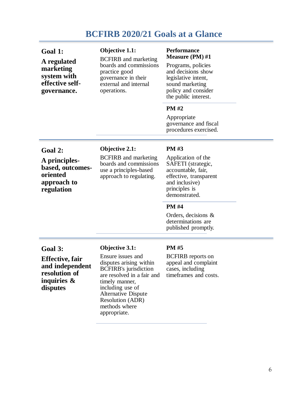# **BCFIRB 2020/21 Goals at a Glance**

| Goal 1:<br>A regulated<br>marketing<br>system with<br>effective self-<br>governance.                 | <b>Objective 1.1:</b><br><b>BCFIRB</b> and marketing<br>boards and commissions<br>practice good<br>governance in their<br>external and internal<br>operations.                                                                                                      | <b>Performance</b><br><b>Measure (PM)</b> #1<br>Programs, policies<br>and decisions show<br>legislative intent,<br>sound marketing<br>policy and consider<br>the public interest.                                                                  |
|------------------------------------------------------------------------------------------------------|---------------------------------------------------------------------------------------------------------------------------------------------------------------------------------------------------------------------------------------------------------------------|----------------------------------------------------------------------------------------------------------------------------------------------------------------------------------------------------------------------------------------------------|
|                                                                                                      |                                                                                                                                                                                                                                                                     | <b>PM#2</b><br>Appropriate<br>governance and fiscal<br>procedures exercised.                                                                                                                                                                       |
| Goal 2:<br>A principles-<br>based, outcomes-<br>oriented<br>approach to<br>regulation                | <b>Objective 2.1:</b><br><b>BCFIRB</b> and marketing<br>boards and commissions<br>use a principles-based<br>approach to regulating.                                                                                                                                 | <b>PM#3</b><br>Application of the<br>SAFETI (strategic,<br>accountable, fair,<br>effective, transparent<br>and inclusive)<br>principles is<br>demonstrated.<br><b>PM</b> #4<br>Orders, decisions $\&$<br>determinations are<br>published promptly. |
| Goal 3:<br><b>Effective</b> , fair<br>and independent<br>resolution of<br>inquiries $\&$<br>disputes | <b>Objective 3.1:</b><br>Ensure issues and<br>disputes arising within<br><b>BCFIRB's</b> jurisdiction<br>are resolved in a fair and<br>timely manner,<br>including use of<br><b>Alternative Dispute</b><br><b>Resolution (ADR)</b><br>methods where<br>appropriate. | <b>PM#5</b><br><b>BCFIRB</b> reports on<br>appeal and complaint<br>cases, including<br>timeframes and costs.                                                                                                                                       |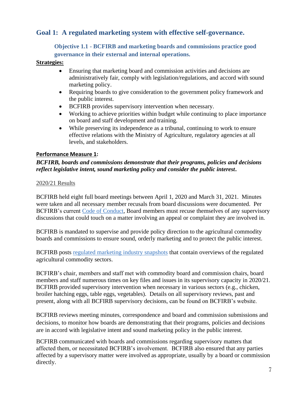#### **Goal 1: A regulated marketing system with effective self-governance.**

**Objective 1.1 - BCFIRB and marketing boards and commissions practice good governance in their external and internal operations.**

#### **Strategies:**

- Ensuring that marketing board and commission activities and decisions are administratively fair, comply with legislation/regulations, and accord with sound marketing policy.
- Requiring boards to give consideration to the government policy framework and the public interest.
- BCFIRB provides supervisory intervention when necessary.
- Working to achieve priorities within budget while continuing to place importance on board and staff development and training.
- While preserving its independence as a tribunal, continuing to work to ensure effective relations with the Ministry of Agriculture, regulatory agencies at all levels, and stakeholders.

#### **Performance Measure 1:**

#### *BCFIRB, boards and commissions demonstrate that their programs, policies and decisions reflect legislative intent, sound marketing policy and consider the public interest***.**

#### 2020/21 Results

BCFIRB held eight full board meetings between April 1, 2020 and March 31, 2021. Minutes were taken and all necessary member recusals from board discussions were documented. Per BCFIRB's current [Code of Conduct,](https://www2.gov.bc.ca/assets/gov/british-columbians-our-governments/organizational-structure/boards-commissions-tribunals/bc-farm-industry-review-board/about-bcfirb/board-members-staff/governance/2017_mar_09_bcfirb_code_of_conduct.pdf) Board members must recuse themselves of any supervisory discussions that could touch on a matter involving an appeal or complaint they are involved in.

BCFIRB is mandated to supervise and provide policy direction to the agricultural commodity boards and commissions to ensure sound, orderly marketing and to protect the public interest.

BCFIRB posts [regulated marketing industry snapshots](https://www2.gov.bc.ca/gov/content/governments/organizational-structure/ministries-organizations/boards-commissions-tribunals/bc-farm-industry-review-board/regulated-marketing) that contain overviews of the regulated agricultural commodity sectors.

BCFIRB's chair, members and staff met with commodity board and commission chairs, board members and staff numerous times on key files and issues in its supervisory capacity in 2020/21. BCFIRB provided supervisory intervention when necessary in various sectors (e.g., chicken, broiler hatching eggs, table eggs, vegetables). Details on all supervisory reviews, past and present, along with all BCFIRB supervisory decisions, can be found on BCFIRB's website.

BCFIRB reviews meeting minutes, correspondence and board and commission submissions and decisions, to monitor how boards are demonstrating that their programs, policies and decisions are in accord with legislative intent and sound marketing policy in the public interest.

BCFIRB communicated with boards and commissions regarding supervisory matters that affected them, or necessitated BCFIRB's involvement. BCFIRB also ensured that any parties affected by a supervisory matter were involved as appropriate, usually by a board or commission directly.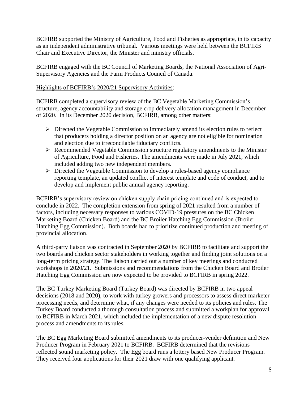BCFIRB supported the Ministry of Agriculture, Food and Fisheries as appropriate, in its capacity as an independent administrative tribunal. Various meetings were held between the BCFIRB Chair and Executive Director, the Minister and ministry officials.

BCFIRB engaged with the BC Council of Marketing Boards, the National Association of Agri-Supervisory Agencies and the Farm Products Council of Canada.

#### Highlights of BCFIRB's 2020/21 Supervisory Activities:

BCFIRB completed a supervisory review of the BC Vegetable Marketing Commission's structure, agency accountability and storage crop delivery allocation management in December of 2020. In its December 2020 decision, BCFIRB, among other matters:

- ➢ Directed the Vegetable Commission to immediately amend its election rules to reflect that producers holding a director position on an agency are not eligible for nomination and election due to irreconcilable fiduciary conflicts.
- ➢ Recommended Vegetable Commission structure regulatory amendments to the Minister of Agriculture, Food and Fisheries. The amendments were made in July 2021, which included adding two new independent members.
- ➢ Directed the Vegetable Commission to develop a rules-based agency compliance reporting template, an updated conflict of interest template and code of conduct, and to develop and implement public annual agency reporting.

BCFIRB's supervisory review on chicken supply chain pricing continued and is expected to conclude in 2022. The completion extension from spring of 2021 resulted from a number of factors, including necessary responses to various COVID-19 pressures on the BC Chicken Marketing Board (Chicken Board) and the BC Broiler Hatching Egg Commission (Broiler Hatching Egg Commission). Both boards had to prioritize continued production and meeting of provincial allocation.

A third-party liaison was contracted in September 2020 by BCFIRB to facilitate and support the two boards and chicken sector stakeholders in working together and finding joint solutions on a long-term pricing strategy. The liaison carried out a number of key meetings and conducted workshops in 2020/21. Submissions and recommendations from the Chicken Board and Broiler Hatching Egg Commission are now expected to be provided to BCFIRB in spring 2022.

The BC Turkey Marketing Board (Turkey Board) was directed by BCFIRB in two appeal decisions (2018 and 2020), to work with turkey growers and processors to assess direct marketer processing needs, and determine what, if any changes were needed to its policies and rules. The Turkey Board conducted a thorough consultation process and submitted a workplan for approval to BCFIRB in March 2021, which included the implementation of a new dispute resolution process and amendments to its rules.

The BC Egg Marketing Board submitted amendments to its producer-vender definition and New Producer Program in February 2021 to BCFIRB. BCFIRB determined that the revisions reflected sound marketing policy. The Egg board runs a lottery based New Producer Program. They received four applications for their 2021 draw with one qualifying applicant.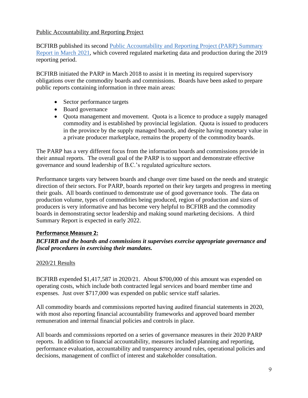#### Public Accountability and Reporting Project

BCFIRB published its second [Public Accountability and Reporting Project \(PARP\) Summary](https://www2.gov.bc.ca/assets/gov/british-columbians-our-governments/organizational-structure/boards-commissions-tribunals/bc-farm-industry-review-board/public-accountability-and-reporting-project/bcfirb_2021_parp_report.pdf)  [Report in March 2021,](https://www2.gov.bc.ca/assets/gov/british-columbians-our-governments/organizational-structure/boards-commissions-tribunals/bc-farm-industry-review-board/public-accountability-and-reporting-project/bcfirb_2021_parp_report.pdf) which covered regulated marketing data and production during the 2019 reporting period.

BCFIRB initiated the PARP in March 2018 to assist it in meeting its required supervisory obligations over the commodity boards and commissions. Boards have been asked to prepare public reports containing information in three main areas:

- Sector performance targets
- Board governance
- Quota management and movement. Quota is a licence to produce a supply managed commodity and is established by provincial legislation. Quota is issued to producers in the province by the supply managed boards, and despite having monetary value in a private producer marketplace, remains the property of the commodity boards.

The PARP has a very different focus from the information boards and commissions provide in their annual reports. The overall goal of the PARP is to support and demonstrate effective governance and sound leadership of B.C.'s regulated agriculture sectors.

Performance targets vary between boards and change over time based on the needs and strategic direction of their sectors. For PARP, boards reported on their key targets and progress in meeting their goals. All boards continued to demonstrate use of good governance tools. The data on production volume, types of commodities being produced, region of production and sizes of producers is very informative and has become very helpful to BCFIRB and the commodity boards in demonstrating sector leadership and making sound marketing decisions. A third Summary Report is expected in early 2022.

#### **Performance Measure 2:**

#### *BCFIRB and the boards and commissions it supervises exercise appropriate governance and fiscal procedures in exercising their mandates.*

#### 2020/21 Results

BCFIRB expended \$1,417,587 in 2020/21. About \$700,000 of this amount was expended on operating costs, which include both contracted legal services and board member time and expenses. Just over \$717,000 was expended on public service staff salaries.

All commodity boards and commissions reported having audited financial statements in 2020, with most also reporting financial accountability frameworks and approved board member remuneration and internal financial policies and controls in place.

All boards and commissions reported on a series of governance measures in their 2020 PARP reports. In addition to financial accountability, measures included planning and reporting, performance evaluation, accountability and transparency around rules, operational policies and decisions, management of conflict of interest and stakeholder consultation.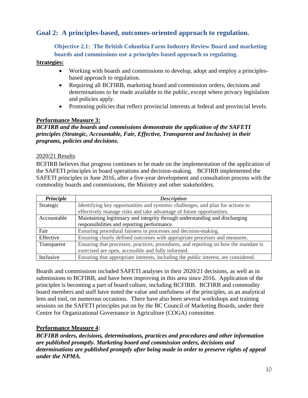#### **Goal 2: A principles-based, outcomes-oriented approach to regulation.**

**Objective 2.1: The British Columbia Farm Industry Review Board and marketing boards and commissions use a principles-based approach to regulating.**

#### **Strategies:**

- Working with boards and commissions to develop, adopt and employ a principlesbased approach to regulation.
- Requiring all BCFIRB, marketing board and commission orders, decisions and determinations to be made available to the public, except where privacy legislation and policies apply.
- Promoting policies that reflect provincial interests at federal and provincial levels.

#### **Performance Measure 3:**

*BCFIRB and the boards and commissions demonstrate the application of the SAFETI principles (Strategic, Accountable, Fair, Effective, Transparent and Inclusive) in their programs, policies and decisions.*

#### 2020/21 Results

BCFIRB believes that progress continues to be made on the implementation of the application of the SAFETI principles in board operations and decision-making. BCFIRB implemented the SAFETI principles in June 2016, after a five-year development and consultation process with the commodity boards and commissions, the Ministry and other stakeholders.

| Principle   | <b>Description</b>                                                                  |
|-------------|-------------------------------------------------------------------------------------|
| Strategic   | Identifying key opportunities and systemic challenges, and plan for actions to      |
|             | effectively manage risks and take advantage of future opportunities.                |
| Accountable | Maintaining legitimacy and integrity through understanding and discharging          |
|             | responsibilities and reporting performance.                                         |
| Fair        | Ensuring procedural fairness in processes and decision-making.                      |
| Effective   | Ensuring clearly defined outcomes with appropriate processes and measures.          |
| Transparent | Ensuring that processes, practices, procedures, and reporting on how the mandate is |
|             | exercised are open, accessible and fully informed.                                  |
| Inclusive   | Ensuring that appropriate interests, including the public interest, are considered. |

Boards and commissions included SAFETI analyses in their 2020/21 decisions, as well as in submissions to BCFIRB, and have been improving in this area since 2016. Application of the principles is becoming a part of board culture, including BCFIRB. BCFIRB and commodity board members and staff have noted the value and usefulness of the principles, as an analytical lens and tool, on numerous occasions. There have also been several workshops and training sessions on the SAFETI principles put on by the BC Council of Marketing Boards, under their Centre for Organizational Governance in Agriculture (COGA) committee.

#### **Performance Measure 4:**

*BCFIRB orders, decisions, determinations, practices and procedures and other information are published promptly. Marketing board and commission orders, decisions and determinations are published promptly after being made in order to preserve rights of appeal under the NPMA.*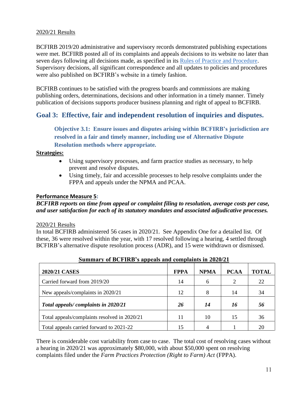#### 2020/21 Results

BCFIRB 2019/20 administrative and supervisory records demonstrated publishing expectations were met. BCFIRB posted all of its complaints and appeals decisions to its website no later than seven days following all decisions made, as specified in its [Rules of Practice and Procedure.](https://www2.gov.bc.ca/assets/gov/british-columbians-our-governments/organizational-structure/boards-commissions-tribunals/bc-farm-industry-review-board/regulated-marketing/2016_july_npma_rules.pdf) Supervisory decisions, all significant correspondence and all updates to policies and procedures were also published on BCFIRB's website in a timely fashion.

BCFIRB continues to be satisfied with the progress boards and commissions are making publishing orders, determinations, decisions and other information in a timely manner. Timely publication of decisions supports producer business planning and right of appeal to BCFIRB.

#### **Goal 3: Effective, fair and independent resolution of inquiries and disputes.**

**Objective 3.1: Ensure issues and disputes arising within BCFIRB's jurisdiction are resolved in a fair and timely manner, including use of Alternative Dispute Resolution methods where appropriate.**

#### **Strategies:**

- Using supervisory processes, and farm practice studies as necessary, to help prevent and resolve disputes.
- Using timely, fair and accessible processes to help resolve complaints under the FPPA and appeals under the NPMA and PCAA.

#### **Performance Measure 5:**

*BCFIRB reports on time from appeal or complaint filing to resolution, average costs per case, and user satisfaction for each of its statutory mandates and associated adjudicative processes.* 

#### 2020/21 Results

In total BCFIRB administered 56 cases in 2020/21. See Appendix One for a detailed list. Of these, 36 were resolved within the year, with 17 resolved following a hearing, 4 settled through BCFIRB's alternative dispute resolution process (ADR), and 15 were withdrawn or dismissed.

| <b>2020/21 CASES</b>                         | <b>FPPA</b> | <b>NPMA</b> | <b>PCAA</b> | <b>TOTAL</b> |
|----------------------------------------------|-------------|-------------|-------------|--------------|
| Carried forward from 2019/20                 | 14          | 6           | 2           | 22           |
| New appeals/complaints in 2020/21            | 12          | 8           | 14          | 34           |
| Total appeals/complaints in 2020/21          | 26          | 14          | 16          | 56           |
| Total appeals/complaints resolved in 2020/21 | 11          | 10          | 15          | 36           |
| Total appeals carried forward to 2021-22     | 15          |             |             | 20           |

#### **Summary of BCFIRB's appeals and complaints in 2020/21**

There is considerable cost variability from case to case. The total cost of resolving cases without a hearing in 2020/21 was approximately \$80,000, with about \$50,000 spent on resolving complaints filed under the *Farm Practices Protection (Right to Farm) Act* (FPPA).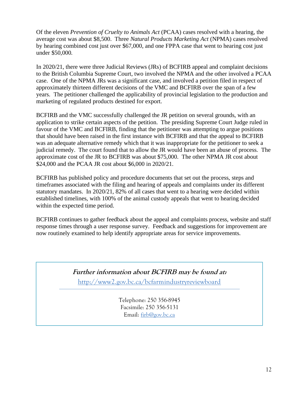Of the eleven *Prevention of Cruelty to Animals Act* (PCAA) cases resolved with a hearing, the average cost was about \$8,500. Three *Natural Products Marketing Act* (NPMA) cases resolved by hearing combined cost just over \$67,000, and one FPPA case that went to hearing cost just under \$50,000.

In 2020/21, there were three Judicial Reviews (JRs) of BCFIRB appeal and complaint decisions to the British Columbia Supreme Court, two involved the NPMA and the other involved a PCAA case. One of the NPMA JRs was a significant case, and involved a petition filed in respect of approximately thirteen different decisions of the VMC and BCFIRB over the span of a few years. The petitioner challenged the applicability of provincial legislation to the production and marketing of regulated products destined for export.

BCFIRB and the VMC successfully challenged the JR petition on several grounds, with an application to strike certain aspects of the petition. The presiding Supreme Court Judge ruled in favour of the VMC and BCFIRB, finding that the petitioner was attempting to argue positions that should have been raised in the first instance with BCFIRB and that the appeal to BCFIRB was an adequate alternative remedy which that it was inappropriate for the petitioner to seek a judicial remedy. The court found that to allow the JR would have been an abuse of process. The approximate cost of the JR to BCFIRB was about \$75,000. The other NPMA JR cost about \$24,000 and the PCAA JR cost about \$6,000 in 2020/21.

BCFIRB has published policy and procedure documents that set out the process, steps and timeframes associated with the filing and hearing of appeals and complaints under its different statutory mandates. In 2020/21, 82% of all cases that went to a hearing were decided within established timelines, with 100% of the animal custody appeals that went to hearing decided within the expected time period.

BCFIRB continues to gather feedback about the appeal and complaints process, website and staff response times through a user response survey. Feedback and suggestions for improvement are now routinely examined to help identify appropriate areas for service improvements.

> **Further information about BCFIRB may be found at:**  <http://www2.gov.bc.ca/bcfarmindustryreviewboard>

> > Telephone: 250 356-8945 Facsimile: 250 356-5131 Email: [firb@gov.bc.ca](mailto:firb@gov.bc.ca)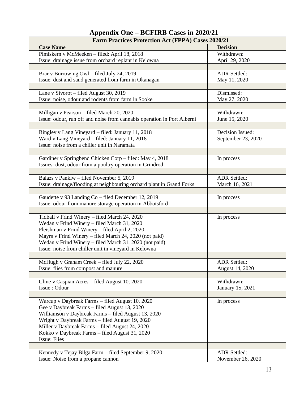## **Appendix One – BCFIRB Cases in 2020/21**

| <b>Farm Practices Protection Act (FPPA) Cases 2020/21</b>               |                     |  |
|-------------------------------------------------------------------------|---------------------|--|
| <b>Case Name</b>                                                        | <b>Decision</b>     |  |
| Pimiskern v McMeeken - filed: April 18, 2018                            | Withdrawn:          |  |
| Issue: drainage issue from orchard replant in Kelowna                   | April 29, 2020      |  |
|                                                                         |                     |  |
| Brar v Burrowing Owl - filed July 24, 2019                              | <b>ADR</b> Settled: |  |
| Issue: dust and sand generated from farm in Okanagan                    | May 11, 2020        |  |
|                                                                         |                     |  |
| Lane v Sivorot - filed August 30, 2019                                  | Dismissed:          |  |
| Issue: noise, odour and rodents from farm in Sooke                      | May 27, 2020        |  |
|                                                                         |                     |  |
| Milligan v Pearson - filed March 20, 2020                               | Withdrawn:          |  |
| Issue: odour, run off and noise from cannabis operation in Port Alberni | June 15, 2020       |  |
|                                                                         |                     |  |
| Bingley v Lang Vineyard - filed: January 11, 2018                       | Decision Issued:    |  |
| Ward v Lang Vineyard - filed: January 11, 2018                          | September 23, 2020  |  |
| Issue: noise from a chiller unit in Naramata                            |                     |  |
|                                                                         |                     |  |
| Gardiner v Springbend Chicken Corp - filed: May 4, 2018                 | In process          |  |
| Issues: dust, odour from a poultry operation in Grindrod                |                     |  |
|                                                                         |                     |  |
| Balazs v Pankiw – filed November 5, 2019                                | <b>ADR Settled:</b> |  |
| Issue: drainage/flooding at neighbouring orchard plant in Grand Forks   | March 16, 2021      |  |
|                                                                         |                     |  |
| Gaudette v 93 Landing Co - filed December 12, 2019                      | In process          |  |
| Issue: odour from manure storage operation in Abbotsford                |                     |  |
|                                                                         |                     |  |
| Tidball v Frind Winery - filed March 24, 2020                           | In process          |  |
| Wedan v Frind Winery - filed March 31, 2020                             |                     |  |
| Fleishman v Frind Winery - filed April 2, 2020                          |                     |  |
| Mayrs v Frind Winery - filed March 24, 2020 (not paid)                  |                     |  |
| Wedan v Frind Winery – filed March 31, 2020 (not paid)                  |                     |  |
| Issue: noise from chiller unit in vineyard in Kelowna                   |                     |  |
|                                                                         |                     |  |
| McHugh v Graham Creek – filed July 22, 2020                             | <b>ADR Settled:</b> |  |
| Issue: flies from compost and manure                                    | August 14, 2020     |  |
|                                                                         |                     |  |
| Cline v Caspian Acres - filed August 10, 2020                           | Withdrawn:          |  |
| Issue: Odour                                                            | January 15, 2021    |  |
|                                                                         |                     |  |
| Warcup v Daybreak Farms – filed August 10, 2020                         | In process          |  |
| Gee v Daybreak Farms - filed August 13, 2020                            |                     |  |
| Williamson v Daybreak Farms - filed August 13, 2020                     |                     |  |
| Wright v Daybreak Farms - filed August 19, 2020                         |                     |  |
| Miller v Daybreak Farms - filed August 24, 2020                         |                     |  |
| Kokko v Daybreak Farms - filed August 31, 2020                          |                     |  |
| <b>Issue: Flies</b>                                                     |                     |  |
|                                                                         |                     |  |
| Kennedy v Tejay Bilga Farm - filed September 9, 2020                    | <b>ADR</b> Settled: |  |
| Issue: Noise from a propane cannon                                      | November 26, 2020   |  |
|                                                                         |                     |  |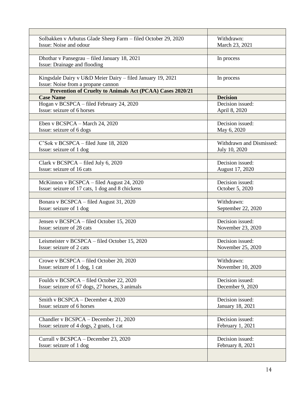| Solbakken v Arbutus Glade Sheep Farm - filed October 29, 2020 | Withdrawn:               |
|---------------------------------------------------------------|--------------------------|
| Issue: Noise and odour                                        | March 23, 2021           |
|                                                               |                          |
| Dhothar v Pansegrau - filed January 18, 2021                  | In process               |
| Issue: Drainage and flooding                                  |                          |
|                                                               |                          |
| Kingsdale Dairy v U&D Meier Dairy - filed January 19, 2021    | In process               |
| Issue: Noise from a propane cannon                            |                          |
| Prevention of Cruelty to Animals Act (PCAA) Cases 2020/21     |                          |
| <b>Case Name</b>                                              | <b>Decision</b>          |
| Hogan v BCSPCA - filed February 24, 2020                      | Decision issued:         |
| Issue: seizure of 6 horses                                    | April 8, 2020            |
|                                                               |                          |
| Eben v BCSPCA – March 24, 2020                                | Decision issued:         |
| Issue: seizure of 6 dogs                                      | May 6, 2020              |
|                                                               |                          |
| C'Sok v BCSPCA – filed June 18, 2020                          | Withdrawn and Dismissed: |
| Issue: seizure of 1 dog                                       | July 10, 2020            |
|                                                               |                          |
| Clark v BCSPCA - filed July 6, 2020                           | Decision issued:         |
| Issue: seizure of 16 cats                                     |                          |
|                                                               | August 17, 2020          |
|                                                               |                          |
| McKinnon v BCSPCA – filed August 24, 2020                     | Decision issued:         |
| Issue: seizure of 17 cats, 1 dog and 8 chickens               | October 5, 2020          |
|                                                               |                          |
| Bonara v BCSPCA - filed August 31, 2020                       | Withdrawn:               |
| Issue: seizure of 1 dog                                       | September 22, 2020       |
|                                                               |                          |
| Jensen v BCSPCA - filed October 15, 2020                      | Decision issued:         |
| Issue: seizure of 28 cats                                     | November 23, 2020        |
|                                                               |                          |
| Leismeister v BCSPCA - filed October 15, 2020                 | Decision issued:         |
| Issue: seizure of 2 cats                                      | November 25, 2020        |
|                                                               |                          |
| Crowe v BCSPCA – filed October 20, 2020                       | Withdrawn:               |
| Issue: seizure of 1 dog, 1 cat                                | November 10, 2020        |
|                                                               |                          |
| Foulds v BCSPCA – filed October 22, 2020                      | Decision issued:         |
| Issue: seizure of 67 dogs, 27 horses, 3 animals               | December 9, 2020         |
|                                                               |                          |
| Smith v BCSPCA - December 4, 2020                             | Decision issued:         |
| Issue: seizure of 6 horses                                    | January 18, 2021         |
|                                                               |                          |
| Chandler v BCSPCA – December 21, 2020                         | Decision issued:         |
| Issue: seizure of 4 dogs, 2 goats, 1 cat                      | February 1, 2021         |
|                                                               |                          |
| Currall v BCSPCA - December 23, 2020                          | Decision issued:         |
| Issue: seizure of 1 dog                                       | February 8, 2021         |
|                                                               |                          |
|                                                               |                          |